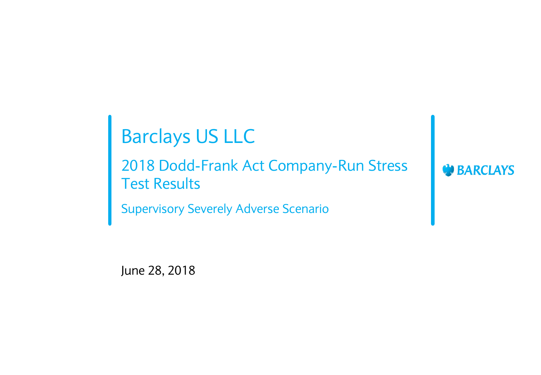# Barclays US LLC

2018 Dodd-Frank Act Company-Run Stress Test Results

Supervisory Severely Adverse Scenario

June 28, 2018

**DEARCLAYS**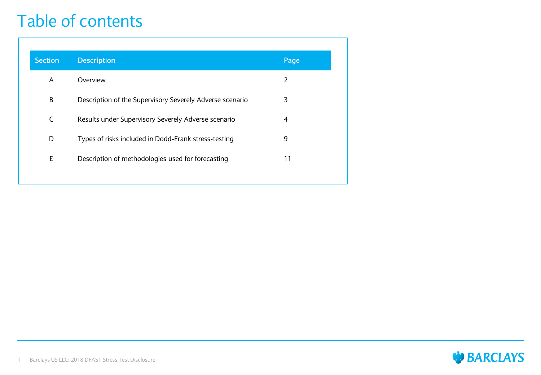#### Table of contents

| <b>Section</b> | <b>Description</b>                                       | Page |
|----------------|----------------------------------------------------------|------|
| A              | Overview                                                 | 2    |
| В              | Description of the Supervisory Severely Adverse scenario | 3    |
| C              | Results under Supervisory Severely Adverse scenario      | 4    |
| D              | Types of risks included in Dodd-Frank stress-testing     | 9    |
| Ε              | Description of methodologies used for forecasting        | 11   |
|                |                                                          |      |

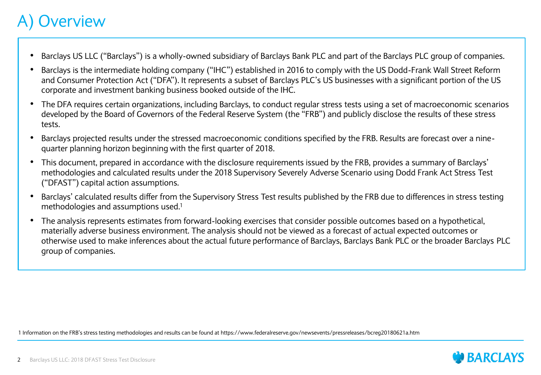#### **Overview**

- Barclays US LLC ("Barclays") is a wholly-owned subsidiary of Barclays Bank PLC and part of the Barclays PLC group of companies.
- Barclays is the intermediate holding company ("IHC") established in 2016 to comply with the US Dodd-Frank Wall Street Reform and Consumer Protection Act ("DFA"). It represents a subset of Barclays PLC's US businesses with a significant portion of the US corporate and investment banking business booked outside of the IHC.
- The DFA requires certain organizations, including Barclays, to conduct regular stress tests using a set of macroeconomic scenarios developed by the Board of Governors of the Federal Reserve System (the "FRB") and publicly disclose the results of these stress tests.
- Barclays projected results under the stressed macroeconomic conditions specified by the FRB. Results are forecast over a ninequarter planning horizon beginning with the first quarter of 2018.
- This document, prepared in accordance with the disclosure requirements issued by the FRB, provides a summary of Barclays' methodologies and calculated results under the 2018 Supervisory Severely Adverse Scenario using Dodd Frank Act Stress Test ("DFAST") capital action assumptions.
- Barclays' calculated results differ from the Supervisory Stress Test results published by the FRB due to differences in stress testing methodologies and assumptions used.<sup>1</sup>
- The analysis represents estimates from forward-looking exercises that consider possible outcomes based on a hypothetical, materially adverse business environment. The analysis should not be viewed as a forecast of actual expected outcomes or otherwise used to make inferences about the actual future performance of Barclays, Barclays Bank PLC or the broader Barclays PLC group of companies.

1 Information on the FRB's stress testing methodologies and results can be found at https://www.federalreserve.gov/newsevents/pressreleases/bcreg20180621a.htm

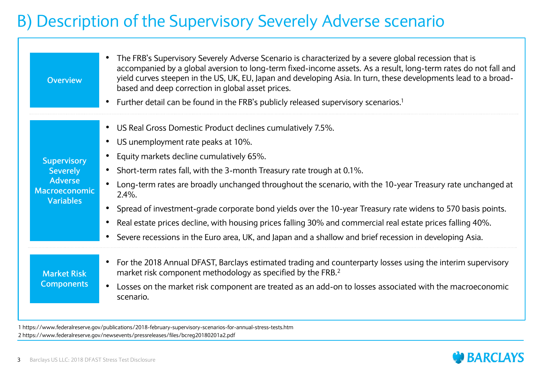#### B) Description of the Supervisory Severely Adverse scenario

| <b>Overview</b>                                                                                     | The FRB's Supervisory Severely Adverse Scenario is characterized by a severe global recession that is<br>accompanied by a global aversion to long-term fixed-income assets. As a result, long-term rates do not fall and<br>yield curves steepen in the US, UK, EU, Japan and developing Asia. In turn, these developments lead to a broad-<br>based and deep correction in global asset prices.                                                                                                                                                                                                                                                                                                                   |
|-----------------------------------------------------------------------------------------------------|--------------------------------------------------------------------------------------------------------------------------------------------------------------------------------------------------------------------------------------------------------------------------------------------------------------------------------------------------------------------------------------------------------------------------------------------------------------------------------------------------------------------------------------------------------------------------------------------------------------------------------------------------------------------------------------------------------------------|
|                                                                                                     | • Further detail can be found in the FRB's publicly released supervisory scenarios. <sup>1</sup>                                                                                                                                                                                                                                                                                                                                                                                                                                                                                                                                                                                                                   |
| <b>Supervisory</b><br><b>Severely</b><br><b>Adverse</b><br><b>Macroeconomic</b><br><b>Variables</b> | US Real Gross Domestic Product declines cumulatively 7.5%.<br>US unemployment rate peaks at 10%.<br>Equity markets decline cumulatively 65%.<br>Short-term rates fall, with the 3-month Treasury rate trough at 0.1%.<br>$\bullet$<br>Long-term rates are broadly unchanged throughout the scenario, with the 10-year Treasury rate unchanged at<br>$2.4\%$ .<br>Spread of investment-grade corporate bond yields over the 10-year Treasury rate widens to 570 basis points.<br>$\bullet$<br>Real estate prices decline, with housing prices falling 30% and commercial real estate prices falling 40%.<br>Severe recessions in the Euro area, UK, and Japan and a shallow and brief recession in developing Asia. |
| <b>Market Risk</b><br><b>Components</b>                                                             | • For the 2018 Annual DFAST, Barclays estimated trading and counterparty losses using the interim supervisory<br>market risk component methodology as specified by the FRB. <sup>2</sup><br>Losses on the market risk component are treated as an add-on to losses associated with the macroeconomic<br>scenario.                                                                                                                                                                                                                                                                                                                                                                                                  |

1 https://www.federalreserve.gov/publications/2018-february-supervisory-scenarios-for-annual-stress-tests.htm 2 https://www.federalreserve.gov/newsevents/pressreleases/files/bcreg20180201a2.pdf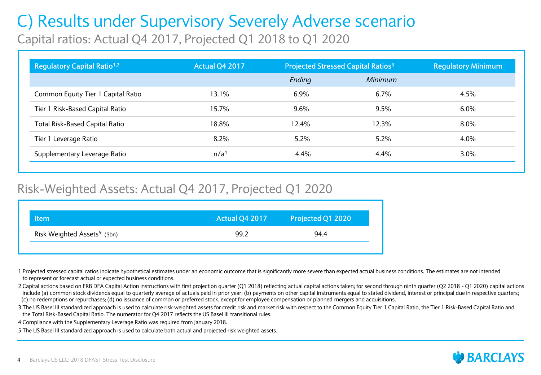# C) Results under Supervisory Severely Adverse scenario

Capital ratios: Actual Q4 2017, Projected Q1 2018 to Q1 2020

| Regulatory Capital Ratio <sup>1,2</sup> | Actual Q4 2017   |         | <b>Projected Stressed Capital Ratios<sup>3</sup></b> | <b>Regulatory Minimum</b> |
|-----------------------------------------|------------------|---------|------------------------------------------------------|---------------------------|
|                                         |                  | Ending  | Minimum                                              |                           |
| Common Equity Tier 1 Capital Ratio      | 13.1%            | 6.9%    | $6.7\%$                                              | 4.5%                      |
| Tier 1 Risk-Based Capital Ratio         | 15.7%            | 9.6%    | 9.5%                                                 | 6.0%                      |
| <b>Total Risk-Based Capital Ratio</b>   | 18.8%            | 12.4%   | 12.3%                                                | $8.0\%$                   |
| Tier 1 Leverage Ratio                   | 8.2%             | 5.2%    | 5.2%                                                 | 4.0%                      |
| Supplementary Leverage Ratio            | n/a <sup>4</sup> | $4.4\%$ | $4.4\%$                                              | $3.0\%$                   |

#### Risk-Weighted Assets: Actual Q4 2017, Projected Q1 2020

| Risk Weighted Assets <sup>5</sup> (\$bn)<br>94.4<br>99.2 | Item | Actual Q4 2017 | Projected Q1 2020 |
|----------------------------------------------------------|------|----------------|-------------------|
|                                                          |      |                |                   |

1 Projected stressed capital ratios indicate hypothetical estimates under an economic outcome that is significantly more severe than expected actual business conditions. The estimates are not intended to represent or forecast actual or expected business conditions.

2 Capital actions based on FRB DFA Capital Action instructions with first projection quarter (Q1 2018) reflecting actual capital actions taken; for second through ninth quarter (Q2 2018 - Q1 2020) capital actions include (a) common stock dividends equal to quarterly average of actuals paid in prior year; (b) payments on other capital instruments equal to stated dividend, interest or principal due in respective quarters; (c) no redemptions or repurchases; (d) no issuance of common or preferred stock, except for employee compensation or planned mergers and acquisitions.

3 The US Basel III standardized approach is used to calculate risk weighted assets for credit risk and market risk with respect to the Common Equity Tier 1 Capital Ratio, the Tier 1 Risk-Based Capital Ratio and the Total Risk-Based Capital Ratio. The numerator for Q4 2017 reflects the US Basel III transitional rules.

4 Compliance with the Supplementary Leverage Ratio was required from January 2018.

5 The US Basel III standardized approach is used to calculate both actual and projected risk weighted assets.

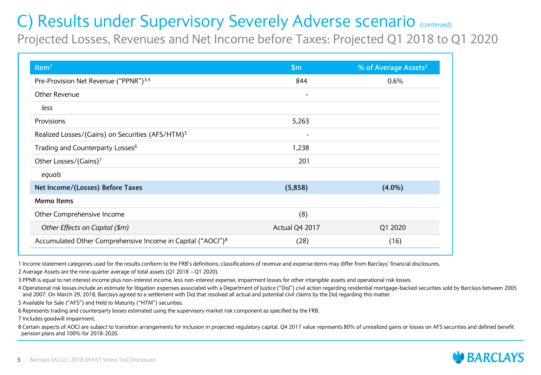Projected Losses, Revenues and Net Income before Taxes: Projected Q1 2018 to Q1 2020

| Item <sup>1</sup>                                                       | \$m\$                    | % of Average Assets <sup>2</sup> |
|-------------------------------------------------------------------------|--------------------------|----------------------------------|
| Pre-Provision Net Revenue ("PPNR") <sup>3,4</sup>                       | 844                      | 0.6%                             |
| Other Revenue                                                           | $\blacksquare$           |                                  |
| less                                                                    |                          |                                  |
| Provisions                                                              | 5,263                    |                                  |
| Realized Losses/(Gains) on Securities (AFS/HTM) <sup>5</sup>            | $\overline{\phantom{a}}$ |                                  |
| Trading and Counterparty Losses <sup>6</sup>                            | 1,238                    |                                  |
| Other Losses/(Gains)7                                                   | 201                      |                                  |
| equals                                                                  |                          |                                  |
| Net Income/(Losses) Before Taxes                                        | (5,858)                  | $(4.0\%)$                        |
| <b>Memo Items</b>                                                       |                          |                                  |
| Other Comprehensive Income                                              | (8)                      |                                  |
| Other Effects on Capital (\$m)                                          | Actual Q4 2017           | Q1 2020                          |
| Accumulated Other Comprehensive Income in Capital ("AOCI") <sup>8</sup> | (28)                     | (16)                             |

1 Income statement categories used for the results conform to the FRB's definitions; classifications of revenue and expense items may differ from Barclays' financial disclosures. 2 Average Assets are the nine-quarter average of total assets (Q1 2018 – Q1 2020).

3 PPNR is equal to net interest income plus non-interest income, less non-interest expense, impairment losses for other intangible assets and operational risk losses.

4 Operational risk losses include an estimate for litigation expenses associated with a Department of Justice ("DoJ") civil action regarding residential mortgage-backed securities sold by Barclays between 2005 and 2007. On March 29, 2018, Barclays agreed to a settlement with DoJ that resolved all actual and potential civil claims by the DoJ regarding this matter.

5 Available for Sale ("AFS") and Held to Maturity ("HTM") securities.

6 Represents trading and counterparty losses estimated using the supervisory market risk component as specified by the FRB.

7 Includes goodwill impairment.

8 Certain aspects of AOCI are subject to transition arrangements for inclusion in projected regulatory capital. Q4 2017 value represents 80% of unrealized gains or losses on AFS securities and defined benefit pension plans and 100% for 2018-2020.

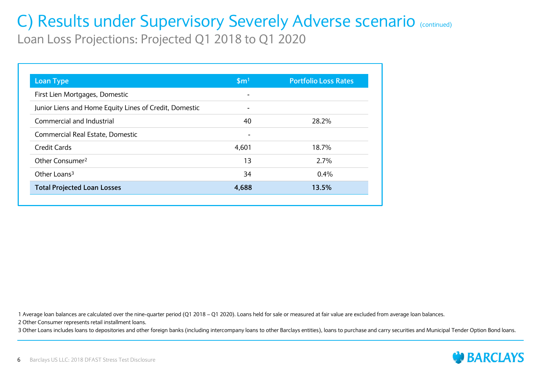Loan Loss Projections: Projected Q1 2018 to Q1 2020

| <b>Loan Type</b>                                       | \$m <sup>1</sup>         | <b>Portfolio Loss Rates</b> |
|--------------------------------------------------------|--------------------------|-----------------------------|
| First Lien Mortgages, Domestic                         | $\overline{\phantom{0}}$ |                             |
| Junior Liens and Home Equity Lines of Credit, Domestic |                          |                             |
| Commercial and Industrial                              | 40                       | 28.2%                       |
| Commercial Real Estate, Domestic                       | $\overline{\phantom{a}}$ |                             |
| Credit Cards                                           | 4.601                    | 18.7%                       |
| Other Consumer <sup>2</sup>                            | 13                       | 2.7%                        |
| Other Loans <sup>3</sup>                               | 34                       | $0.4\%$                     |
| <b>Total Projected Loan Losses</b>                     | 4,688                    | 13.5%                       |

1 Average loan balances are calculated over the nine-quarter period (Q1 2018 – Q1 2020). Loans held for sale or measured at fair value are excluded from average loan balances.

2 Other Consumer represents retail installment loans.

3 Other Loans includes loans to depositories and other foreign banks (including intercompany loans to other Barclays entities), loans to purchase and carry securities and Municipal Tender Option Bond loans.

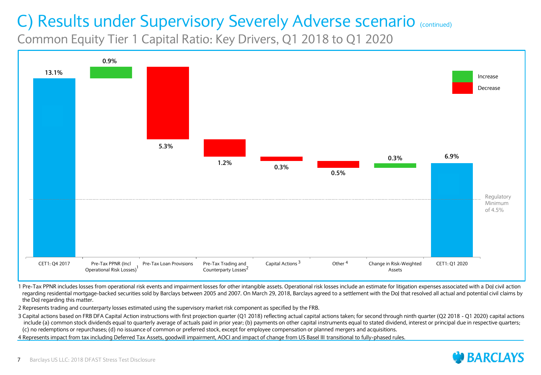Common Equity Tier 1 Capital Ratio: Key Drivers, Q1 2018 to Q1 2020



1 Pre-Tax PPNR includes losses from operational risk events and impairment losses for other intangible assets. Operational risk losses include an estimate for litigation expenses associated with a DoJ civil action regarding residential mortgage-backed securities sold by Barclays between 2005 and 2007. On March 29, 2018, Barclays agreed to a settlement with the DoJ that resolved all actual and potential civil claims by the DoJ regarding this matter.

2 Represents trading and counterparty losses estimated using the supervisory market risk component as specified by the FRB.

3 Capital actions based on FRB DFA Capital Action instructions with first projection quarter (Q1 2018) reflecting actual capital actions taken; for second through ninth quarter (Q2 2018 - Q1 2020) capital actions include (a) common stock dividends equal to quarterly average of actuals paid in prior year; (b) payments on other capital instruments equal to stated dividend, interest or principal due in respective quarters; (c) no redemptions or repurchases; (d) no issuance of common or preferred stock, except for employee compensation or planned mergers and acquisitions.

4 Represents impact from tax including Deferred Tax Assets, goodwill impairment, AOCI and impact of change from US Basel III transitional to fully-phased rules.

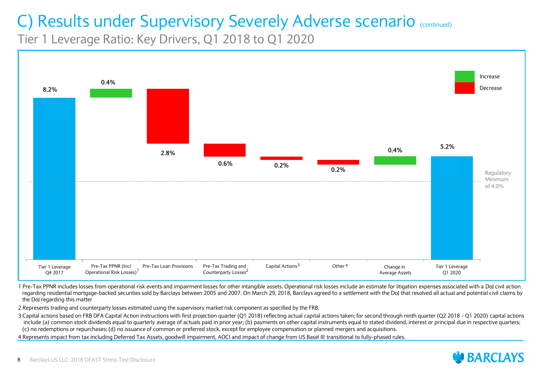Tier 1 Leverage Ratio: Key Drivers, Q1 2018 to Q1 2020



1 Pre-Tax PPNR includes losses from operational risk events and impairment losses for other intangible assets. Operational risk losses include an estimate for litigation expenses associated with a DoJ civil action regarding residential mortgage-backed securities sold by Barclays between 2005 and 2007. On March 29, 2018, Barclays agreed to a settlement with the DoJ that resolved all actual and potential civil claims by the DoJ regarding this matter

2 Represents trading and counterparty losses estimated using the supervisory market risk component as specified by the FRB.

3 Capital actions based on FRB DFA Capital Action instructions with first projection quarter (Q1 2018) reflecting actual capital actions taken; for second through ninth quarter (Q2 2018 - Q1 2020) capital actions include (a) common stock dividends equal to quarterly average of actuals paid in prior year; (b) payments on other capital instruments equal to stated dividend, interest or principal due in respective quarters; (c) no redemptions or repurchases; (d) no issuance of common or preferred stock, except for employee compensation or planned mergers and acquisitions.

4 Represents impact from tax including Deferred Tax Assets, goodwill impairment, AOCI and impact of change from US Basel III transitional to fully-phased rules.

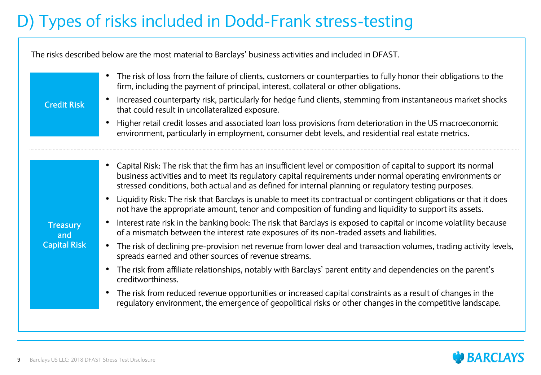### D) Types of risks included in Dodd-Frank stress-testing

The risks described below are the most material to Barclays' business activities and included in DFAST.

| <b>Credit Risk</b><br>$\bullet$                                         | The risk of loss from the failure of clients, customers or counterparties to fully honor their obligations to the<br>firm, including the payment of principal, interest, collateral or other obligations.<br>Increased counterparty risk, particularly for hedge fund clients, stemming from instantaneous market shocks<br>that could result in uncollateralized exposure.<br>Higher retail credit losses and associated loan loss provisions from deterioration in the US macroeconomic<br>environment, particularly in employment, consumer debt levels, and residential real estate metrics.                                                                                                                                                                                                                                                                                                                                                                                                                                                                                                                                                                                                                                                                                                                                          |
|-------------------------------------------------------------------------|-------------------------------------------------------------------------------------------------------------------------------------------------------------------------------------------------------------------------------------------------------------------------------------------------------------------------------------------------------------------------------------------------------------------------------------------------------------------------------------------------------------------------------------------------------------------------------------------------------------------------------------------------------------------------------------------------------------------------------------------------------------------------------------------------------------------------------------------------------------------------------------------------------------------------------------------------------------------------------------------------------------------------------------------------------------------------------------------------------------------------------------------------------------------------------------------------------------------------------------------------------------------------------------------------------------------------------------------|
| $\bullet$<br><b>Treasury</b><br>and<br><b>Capital Risk</b><br>$\bullet$ | • Capital Risk: The risk that the firm has an insufficient level or composition of capital to support its normal<br>business activities and to meet its regulatory capital requirements under normal operating environments or<br>stressed conditions, both actual and as defined for internal planning or regulatory testing purposes.<br>Liquidity Risk: The risk that Barclays is unable to meet its contractual or contingent obligations or that it does<br>not have the appropriate amount, tenor and composition of funding and liquidity to support its assets.<br>Interest rate risk in the banking book: The risk that Barclays is exposed to capital or income volatility because<br>of a mismatch between the interest rate exposures of its non-traded assets and liabilities.<br>The risk of declining pre-provision net revenue from lower deal and transaction volumes, trading activity levels,<br>spreads earned and other sources of revenue streams.<br>The risk from affiliate relationships, notably with Barclays' parent entity and dependencies on the parent's<br>creditworthiness.<br>The risk from reduced revenue opportunities or increased capital constraints as a result of changes in the<br>regulatory environment, the emergence of geopolitical risks or other changes in the competitive landscape. |

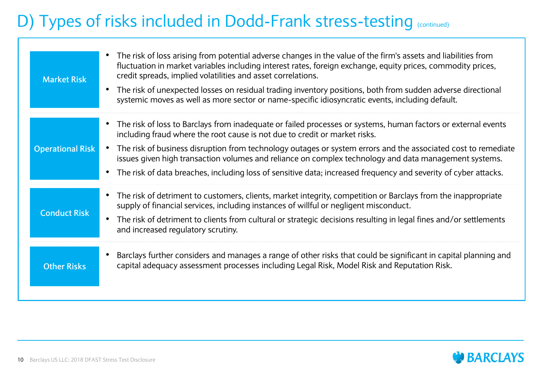### D) Types of risks included in Dodd-Frank stress-testing (continued)

| <b>Market Risk</b>      | • The risk of loss arising from potential adverse changes in the value of the firm's assets and liabilities from<br>fluctuation in market variables including interest rates, foreign exchange, equity prices, commodity prices,<br>credit spreads, implied volatilities and asset correlations.<br>The risk of unexpected losses on residual trading inventory positions, both from sudden adverse directional<br>$\bullet$<br>systemic moves as well as more sector or name-specific idiosyncratic events, including default.                |
|-------------------------|------------------------------------------------------------------------------------------------------------------------------------------------------------------------------------------------------------------------------------------------------------------------------------------------------------------------------------------------------------------------------------------------------------------------------------------------------------------------------------------------------------------------------------------------|
| <b>Operational Risk</b> | • The risk of loss to Barclays from inadequate or failed processes or systems, human factors or external events<br>including fraud where the root cause is not due to credit or market risks.<br>• The risk of business disruption from technology outages or system errors and the associated cost to remediate<br>issues given high transaction volumes and reliance on complex technology and data management systems.<br>• The risk of data breaches, including loss of sensitive data; increased frequency and severity of cyber attacks. |
| <b>Conduct Risk</b>     | • The risk of detriment to customers, clients, market integrity, competition or Barclays from the inappropriate<br>supply of financial services, including instances of willful or negligent misconduct.<br>The risk of detriment to clients from cultural or strategic decisions resulting in legal fines and/or settlements<br>$\bullet$<br>and increased regulatory scrutiny.                                                                                                                                                               |
| <b>Other Risks</b>      | Barclays further considers and manages a range of other risks that could be significant in capital planning and<br>$\bullet$<br>capital adequacy assessment processes including Legal Risk, Model Risk and Reputation Risk.                                                                                                                                                                                                                                                                                                                    |

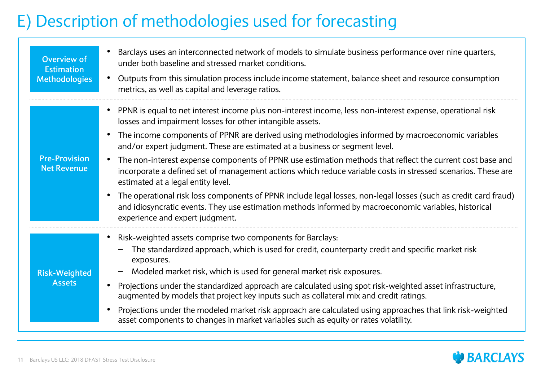#### E) Description of methodologies used for forecasting

| <b>Overview of</b><br><b>Estimation</b><br><b>Methodologies</b> | Barclays uses an interconnected network of models to simulate business performance over nine quarters,<br>under both baseline and stressed market conditions.<br>Outputs from this simulation process include income statement, balance sheet and resource consumption<br>metrics, as well as capital and leverage ratios.                                                                                                                                                                                                                                                                                                                                                                                                                                                                                                                                                                                 |
|-----------------------------------------------------------------|------------------------------------------------------------------------------------------------------------------------------------------------------------------------------------------------------------------------------------------------------------------------------------------------------------------------------------------------------------------------------------------------------------------------------------------------------------------------------------------------------------------------------------------------------------------------------------------------------------------------------------------------------------------------------------------------------------------------------------------------------------------------------------------------------------------------------------------------------------------------------------------------------------|
| <b>Pre-Provision</b><br><b>Net Revenue</b>                      | PPNR is equal to net interest income plus non-interest income, less non-interest expense, operational risk<br>losses and impairment losses for other intangible assets.<br>The income components of PPNR are derived using methodologies informed by macroeconomic variables<br>$\bullet$<br>and/or expert judgment. These are estimated at a business or segment level.<br>The non-interest expense components of PPNR use estimation methods that reflect the current cost base and<br>incorporate a defined set of management actions which reduce variable costs in stressed scenarios. These are<br>estimated at a legal entity level.<br>The operational risk loss components of PPNR include legal losses, non-legal losses (such as credit card fraud)<br>and idiosyncratic events. They use estimation methods informed by macroeconomic variables, historical<br>experience and expert judgment. |
| <b>Risk-Weighted</b><br><b>Assets</b>                           | Risk-weighted assets comprise two components for Barclays:<br>The standardized approach, which is used for credit, counterparty credit and specific market risk<br>exposures.<br>Modeled market risk, which is used for general market risk exposures.<br>Projections under the standardized approach are calculated using spot risk-weighted asset infrastructure,<br>augmented by models that project key inputs such as collateral mix and credit ratings.<br>Projections under the modeled market risk approach are calculated using approaches that link risk-weighted<br>asset components to changes in market variables such as equity or rates volatility.                                                                                                                                                                                                                                         |

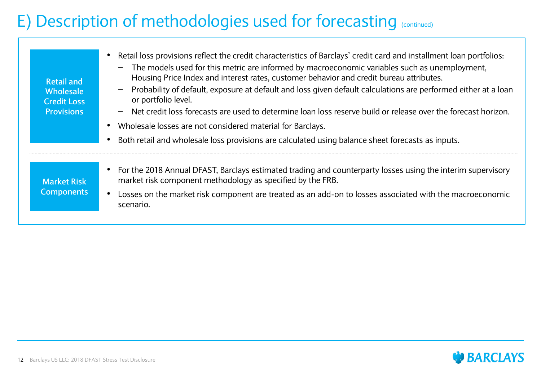#### E) Description of methodologies used for forecasting (continued)

| <b>Retail and</b><br><b>Wholesale</b><br><b>Credit Loss</b><br><b>Provisions</b> | Retail loss provisions reflect the credit characteristics of Barclays' credit card and installment loan portfolios:<br>The models used for this metric are informed by macroeconomic variables such as unemployment,<br>$\overline{\phantom{m}}$<br>Housing Price Index and interest rates, customer behavior and credit bureau attributes.<br>Probability of default, exposure at default and loss given default calculations are performed either at a loan<br>$\qquad \qquad \blacksquare$<br>or portfolio level.<br>Net credit loss forecasts are used to determine loan loss reserve build or release over the forecast horizon.<br>Wholesale losses are not considered material for Barclays.<br>Both retail and wholesale loss provisions are calculated using balance sheet forecasts as inputs. |
|----------------------------------------------------------------------------------|----------------------------------------------------------------------------------------------------------------------------------------------------------------------------------------------------------------------------------------------------------------------------------------------------------------------------------------------------------------------------------------------------------------------------------------------------------------------------------------------------------------------------------------------------------------------------------------------------------------------------------------------------------------------------------------------------------------------------------------------------------------------------------------------------------|
| <b>Market Risk</b><br><b>Components</b>                                          | For the 2018 Annual DFAST, Barclays estimated trading and counterparty losses using the interim supervisory<br>market risk component methodology as specified by the FRB.<br>Losses on the market risk component are treated as an add-on to losses associated with the macroeconomic                                                                                                                                                                                                                                                                                                                                                                                                                                                                                                                    |